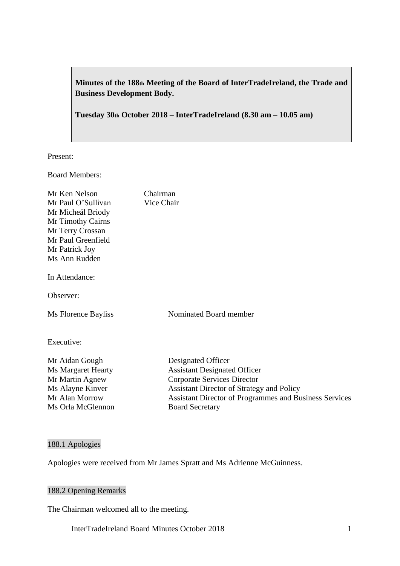# **Minutes of the 188th Meeting of the Board of InterTradeIreland, the Trade and Business Development Body.**

**Tuesday 30th October 2018 – InterTradeIreland (8.30 am – 10.05 am)**

Present:

Board Members:

| Mr Ken Nelson<br>Mr Paul O'Sullivan<br>Mr Micheál Briody<br>Mr Timothy Cairns<br>Mr Terry Crossan<br>Mr Paul Greenfield<br>Mr Patrick Joy<br>Ms Ann Rudden | Chairman<br>Vice Chair                                                                                                                                                                                                                  |
|------------------------------------------------------------------------------------------------------------------------------------------------------------|-----------------------------------------------------------------------------------------------------------------------------------------------------------------------------------------------------------------------------------------|
| In Attendance:                                                                                                                                             |                                                                                                                                                                                                                                         |
| Observer:                                                                                                                                                  |                                                                                                                                                                                                                                         |
| Ms Florence Bayliss                                                                                                                                        | Nominated Board member                                                                                                                                                                                                                  |
| Executive:                                                                                                                                                 |                                                                                                                                                                                                                                         |
| Mr Aidan Gough<br><b>Ms Margaret Hearty</b><br>Mr Martin Agnew<br>Ms Alayne Kinver<br>Mr Alan Morrow<br>Ms Orla McGlennon                                  | Designated Officer<br><b>Assistant Designated Officer</b><br>Corporate Services Director<br><b>Assistant Director of Strategy and Policy</b><br><b>Assistant Director of Programmes and Business Services</b><br><b>Board Secretary</b> |

# 188.1 Apologies

Apologies were received from Mr James Spratt and Ms Adrienne McGuinness.

# 188.2 Opening Remarks

The Chairman welcomed all to the meeting.

InterTradeIreland Board Minutes October 2018 1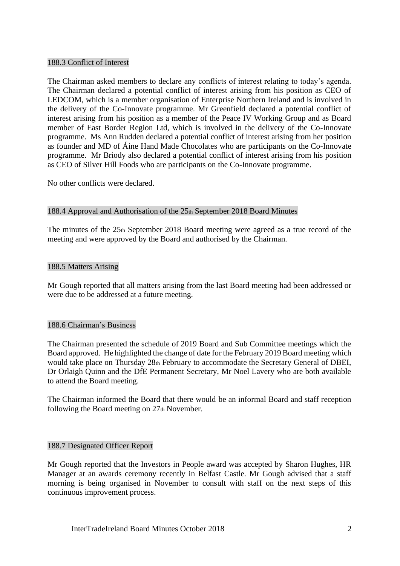## 188.3 Conflict of Interest

The Chairman asked members to declare any conflicts of interest relating to today's agenda. The Chairman declared a potential conflict of interest arising from his position as CEO of LEDCOM, which is a member organisation of Enterprise Northern Ireland and is involved in the delivery of the Co-Innovate programme. Mr Greenfield declared a potential conflict of interest arising from his position as a member of the Peace IV Working Group and as Board member of East Border Region Ltd, which is involved in the delivery of the Co-Innovate programme. Ms Ann Rudden declared a potential conflict of interest arising from her position as founder and MD of Áine Hand Made Chocolates who are participants on the Co-Innovate programme. Mr Briody also declared a potential conflict of interest arising from his position as CEO of Silver Hill Foods who are participants on the Co-Innovate programme.

No other conflicts were declared.

#### 188.4 Approval and Authorisation of the 25th September 2018 Board Minutes

The minutes of the 25th September 2018 Board meeting were agreed as a true record of the meeting and were approved by the Board and authorised by the Chairman.

#### 188.5 Matters Arising

Mr Gough reported that all matters arising from the last Board meeting had been addressed or were due to be addressed at a future meeting.

#### 188.6 Chairman's Business

The Chairman presented the schedule of 2019 Board and Sub Committee meetings which the Board approved. He highlighted the change of date for the February 2019 Board meeting which would take place on Thursday 28th February to accommodate the Secretary General of DBEI, Dr Orlaigh Quinn and the DfE Permanent Secretary, Mr Noel Lavery who are both available to attend the Board meeting.

The Chairman informed the Board that there would be an informal Board and staff reception following the Board meeting on  $27<sub>th</sub>$  November.

#### 188.7 Designated Officer Report

Mr Gough reported that the Investors in People award was accepted by Sharon Hughes, HR Manager at an awards ceremony recently in Belfast Castle. Mr Gough advised that a staff morning is being organised in November to consult with staff on the next steps of this continuous improvement process.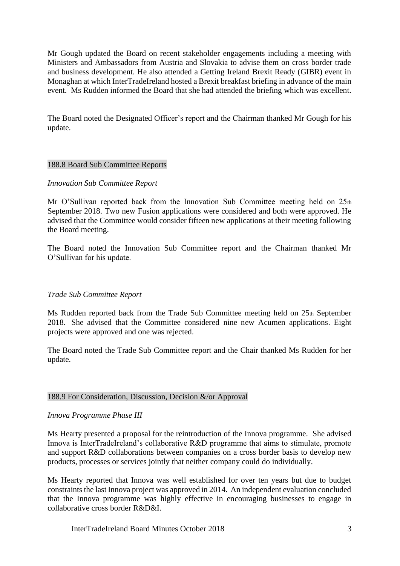Mr Gough updated the Board on recent stakeholder engagements including a meeting with Ministers and Ambassadors from Austria and Slovakia to advise them on cross border trade and business development. He also attended a Getting Ireland Brexit Ready (GIBR) event in Monaghan at which InterTradeIreland hosted a Brexit breakfast briefing in advance of the main event. Ms Rudden informed the Board that she had attended the briefing which was excellent.

The Board noted the Designated Officer's report and the Chairman thanked Mr Gough for his update.

## 188.8 Board Sub Committee Reports

#### *Innovation Sub Committee Report*

Mr O'Sullivan reported back from the Innovation Sub Committee meeting held on  $25<sub>th</sub>$ September 2018. Two new Fusion applications were considered and both were approved. He advised that the Committee would consider fifteen new applications at their meeting following the Board meeting.

The Board noted the Innovation Sub Committee report and the Chairman thanked Mr O'Sullivan for his update.

## *Trade Sub Committee Report*

Ms Rudden reported back from the Trade Sub Committee meeting held on 25th September 2018. She advised that the Committee considered nine new Acumen applications. Eight projects were approved and one was rejected.

The Board noted the Trade Sub Committee report and the Chair thanked Ms Rudden for her update.

# 188.9 For Consideration, Discussion, Decision &/or Approval

#### *Innova Programme Phase III*

Ms Hearty presented a proposal for the reintroduction of the Innova programme. She advised Innova is InterTradeIreland's collaborative R&D programme that aims to stimulate, promote and support R&D collaborations between companies on a cross border basis to develop new products, processes or services jointly that neither company could do individually.

Ms Hearty reported that Innova was well established for over ten years but due to budget constraints the last Innova project was approved in 2014. An independent evaluation concluded that the Innova programme was highly effective in encouraging businesses to engage in collaborative cross border R&D&I.

InterTradeIreland Board Minutes October 2018 3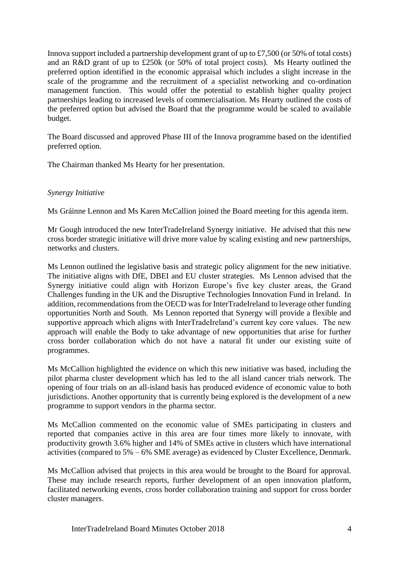Innova support included a partnership development grant of up to £7,500 (or 50% of total costs) and an R&D grant of up to £250k (or 50% of total project costs). Ms Hearty outlined the preferred option identified in the economic appraisal which includes a slight increase in the scale of the programme and the recruitment of a specialist networking and co-ordination management function. This would offer the potential to establish higher quality project partnerships leading to increased levels of commercialisation. Ms Hearty outlined the costs of the preferred option but advised the Board that the programme would be scaled to available budget.

The Board discussed and approved Phase III of the Innova programme based on the identified preferred option.

The Chairman thanked Ms Hearty for her presentation.

# *Synergy Initiative*

Ms Gráinne Lennon and Ms Karen McCallion joined the Board meeting for this agenda item.

Mr Gough introduced the new InterTradeIreland Synergy initiative. He advised that this new cross border strategic initiative will drive more value by scaling existing and new partnerships, networks and clusters.

Ms Lennon outlined the legislative basis and strategic policy alignment for the new initiative. The initiative aligns with DfE, DBEI and EU cluster strategies. Ms Lennon advised that the Synergy initiative could align with Horizon Europe's five key cluster areas, the Grand Challenges funding in the UK and the Disruptive Technologies Innovation Fund in Ireland. In addition, recommendations from the OECD was for InterTradeIreland to leverage other funding opportunities North and South. Ms Lennon reported that Synergy will provide a flexible and supportive approach which aligns with InterTradeIreland's current key core values. The new approach will enable the Body to take advantage of new opportunities that arise for further cross border collaboration which do not have a natural fit under our existing suite of programmes.

Ms McCallion highlighted the evidence on which this new initiative was based, including the pilot pharma cluster development which has led to the all island cancer trials network. The opening of four trials on an all-island basis has produced evidence of economic value to both jurisdictions. Another opportunity that is currently being explored is the development of a new programme to support vendors in the pharma sector.

Ms McCallion commented on the economic value of SMEs participating in clusters and reported that companies active in this area are four times more likely to innovate, with productivity growth 3.6% higher and 14% of SMEs active in clusters which have international activities (compared to 5% – 6% SME average) as evidenced by Cluster Excellence, Denmark.

Ms McCallion advised that projects in this area would be brought to the Board for approval. These may include research reports, further development of an open innovation platform, facilitated networking events, cross border collaboration training and support for cross border cluster managers.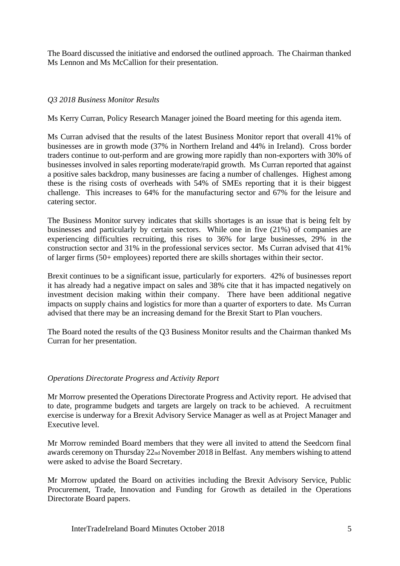The Board discussed the initiative and endorsed the outlined approach. The Chairman thanked Ms Lennon and Ms McCallion for their presentation.

# *Q3 2018 Business Monitor Results*

Ms Kerry Curran, Policy Research Manager joined the Board meeting for this agenda item.

Ms Curran advised that the results of the latest Business Monitor report that overall 41% of businesses are in growth mode (37% in Northern Ireland and 44% in Ireland). Cross border traders continue to out-perform and are growing more rapidly than non-exporters with 30% of businesses involved in sales reporting moderate/rapid growth. Ms Curran reported that against a positive sales backdrop, many businesses are facing a number of challenges. Highest among these is the rising costs of overheads with 54% of SMEs reporting that it is their biggest challenge. This increases to 64% for the manufacturing sector and 67% for the leisure and catering sector.

The Business Monitor survey indicates that skills shortages is an issue that is being felt by businesses and particularly by certain sectors. While one in five (21%) of companies are experiencing difficulties recruiting, this rises to 36% for large businesses, 29% in the construction sector and 31% in the professional services sector. Ms Curran advised that 41% of larger firms (50+ employees) reported there are skills shortages within their sector.

Brexit continues to be a significant issue, particularly for exporters. 42% of businesses report it has already had a negative impact on sales and 38% cite that it has impacted negatively on investment decision making within their company. There have been additional negative impacts on supply chains and logistics for more than a quarter of exporters to date. Ms Curran advised that there may be an increasing demand for the Brexit Start to Plan vouchers.

The Board noted the results of the Q3 Business Monitor results and the Chairman thanked Ms Curran for her presentation.

# *Operations Directorate Progress and Activity Report*

Mr Morrow presented the Operations Directorate Progress and Activity report. He advised that to date, programme budgets and targets are largely on track to be achieved. A recruitment exercise is underway for a Brexit Advisory Service Manager as well as at Project Manager and Executive level.

Mr Morrow reminded Board members that they were all invited to attend the Seedcorn final awards ceremony on Thursday 22nd November 2018 in Belfast. Any members wishing to attend were asked to advise the Board Secretary.

Mr Morrow updated the Board on activities including the Brexit Advisory Service, Public Procurement, Trade, Innovation and Funding for Growth as detailed in the Operations Directorate Board papers.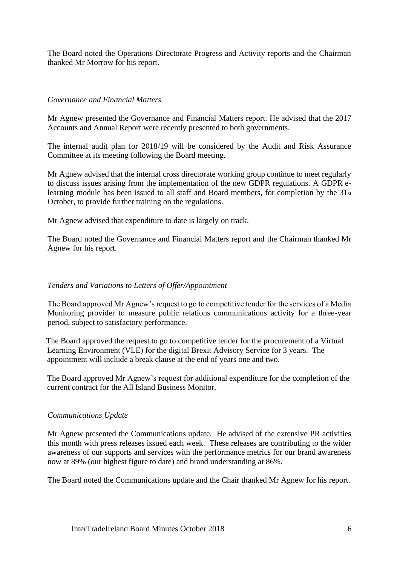The Board noted the Operations Directorate Progress and Activity reports and the Chairman thanked Mr Morrow for his report.

# *Governance and Financial Matters*

Mr Agnew presented the Governance and Financial Matters report. He advised that the 2017 Accounts and Annual Report were recently presented to both governments.

The internal audit plan for 2018/19 will be considered by the Audit and Risk Assurance Committee at its meeting following the Board meeting.

Mr Agnew advised that the internal cross directorate working group continue to meet regularly to discuss issues arising from the implementation of the new GDPR regulations. A GDPR elearning module has been issued to all staff and Board members, for completion by the 31st October, to provide further training on the regulations.

Mr Agnew advised that expenditure to date is largely on track.

The Board noted the Governance and Financial Matters report and the Chairman thanked Mr Agnew for his report.

# *Tenders and Variations to Letters of Offer/Appointment*

The Board approved Mr Agnew's request to go to competitive tender for the services of a Media Monitoring provider to measure public relations communications activity for a three-year period, subject to satisfactory performance.

The Board approved the request to go to competitive tender for the procurement of a Virtual Learning Environment (VLE) for the digital Brexit Advisory Service for 3 years. The appointment will include a break clause at the end of years one and two.

The Board approved Mr Agnew's request for additional expenditure for the completion of the current contract for the All Island Business Monitor.

## *Communications Update*

Mr Agnew presented the Communications update. He advised of the extensive PR activities this month with press releases issued each week. These releases are contributing to the wider awareness of our supports and services with the performance metrics for our brand awareness now at 89% (our highest figure to date) and brand understanding at 86%.

The Board noted the Communications update and the Chair thanked Mr Agnew for his report.